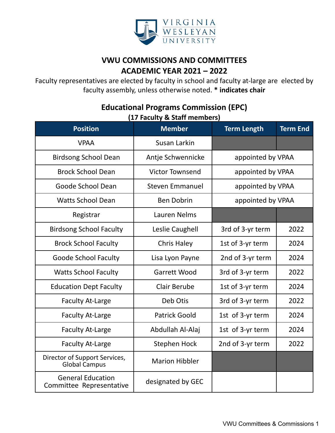

## **VWU COMMISSIONS AND COMMITTEES ACADEMIC YEAR 2021 – 2022**

Faculty representatives are elected by faculty in school and faculty at-large are elected by faculty assembly, unless otherwise noted. **\* indicates chair**

# **Position Member Term Length Term End** VPAA Susan Larkin Birdsong School Dean | Antje Schwennicke | appointed by VPAA Brock School Dean **Net a** Victor Townsend **Net a** appointed by VPAA Goode School Dean (Steven Emmanuel | appointed by VPAA Watts School Dean Theory Ben Dobrin Theory appointed by VPAA Registrar | Lauren Nelms Birdsong School Faculty | Leslie Caughell | 3rd of 3-yr term | 2022 Brock School Faculty | Chris Haley | 1st of 3-yr term | 2024 Goode School Faculty | Lisa Lyon Payne | 2nd of 3-yr term | 2024 Watts School Faculty | Garrett Wood | 3rd of 3-yr term | 2022 Education Dept Faculty | Clair Berube | 1st of 3-yr term | 2024 Faculty At-Large The Deb Otis 1 3rd of 3-yr term 2022 Faculty At-Large Faculty At-Large Faculty At-Large Fatrick Goold 1st of 3-yr term 1 2024 Faculty At-Large | Abdullah Al-Alaj | 1st of 3-yr term | 2024 Faculty At-Large Faculty At-Large Faculty At-Large Stephen Hock 1 2nd of 3-yr term 1 2022 Director of Support Services,<br>Global Campus Marion Hibbler General Education Committee Representative designated by GEC

### **Educational Programs Commission (EPC) (17 Faculty & Staff members)**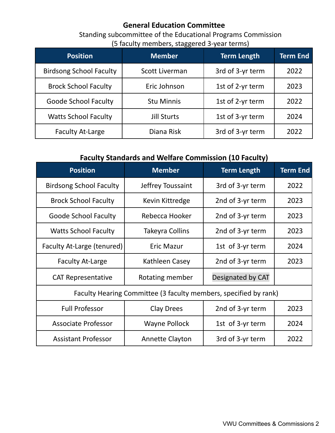### **General Education Committee**

Standing subcommittee of the Educational Programs Commission (5 faculty members, staggered 3-year terms)

| <b>Position</b>                | <b>Member</b>      | <b>Term Length</b> | <b>Term End</b> |
|--------------------------------|--------------------|--------------------|-----------------|
| <b>Birdsong School Faculty</b> | Scott Liverman     | 3rd of 3-yr term   | 2022            |
| <b>Brock School Faculty</b>    | Eric Johnson       | 1st of 2-yr term   | 2023            |
| <b>Goode School Faculty</b>    | <b>Stu Minnis</b>  | 1st of 2-yr term   | 2022            |
| <b>Watts School Faculty</b>    | <b>Jill Sturts</b> | 1st of 3-yr term   | 2024            |
| <b>Faculty At-Large</b>        | Diana Risk         | 3rd of 3-yr term   | 2022            |

### **Faculty Standards and Welfare Commission (10 Faculty)**

| <b>Position</b>                                                  | <b>Member</b>          | <b>Term Length</b> | <b>Term End</b> |
|------------------------------------------------------------------|------------------------|--------------------|-----------------|
| <b>Birdsong School Faculty</b>                                   | Jeffrey Toussaint      | 3rd of 3-yr term   | 2022            |
| <b>Brock School Faculty</b>                                      | Kevin Kittredge        | 2nd of 3-yr term   | 2023            |
| <b>Goode School Faculty</b>                                      | Rebecca Hooker         | 2nd of 3-yr term   | 2023            |
| <b>Watts School Faculty</b>                                      | Takeyra Collins        | 2nd of 3-yr term   | 2023            |
| Faculty At-Large (tenured)                                       | <b>Eric Mazur</b>      | 1st of 3-yr term   | 2024            |
| <b>Faculty At-Large</b>                                          | Kathleen Casey         | 2nd of 3-yr term   | 2023            |
| <b>CAT Representative</b>                                        | Rotating member        | Designated by CAT  |                 |
| Faculty Hearing Committee (3 faculty members, specified by rank) |                        |                    |                 |
| <b>Full Professor</b>                                            | <b>Clay Drees</b>      | 2nd of 3-yr term   | 2023            |
| <b>Associate Professor</b>                                       | <b>Wayne Pollock</b>   | 1st of 3-yr term   | 2024            |
| <b>Assistant Professor</b>                                       | <b>Annette Clayton</b> | 3rd of 3-yr term   | 2022            |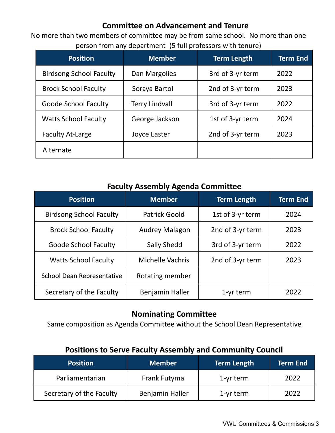## **Committee on Advancement and Tenure**

No more than two members of committee may be from same school. No more than one person from any department (5 full professors with tenure)

| <b>Position</b>                | <b>Member</b>         | <b>Term Length</b> | <b>Term End</b> |
|--------------------------------|-----------------------|--------------------|-----------------|
| <b>Birdsong School Faculty</b> | Dan Margolies         | 3rd of 3-yr term   | 2022            |
| <b>Brock School Faculty</b>    | Soraya Bartol         | 2nd of 3-yr term   | 2023            |
| <b>Goode School Faculty</b>    | <b>Terry Lindvall</b> | 3rd of 3-yr term   | 2022            |
| <b>Watts School Faculty</b>    | George Jackson        | 1st of 3-yr term   | 2024            |
| <b>Faculty At-Large</b>        | Joyce Easter          | 2nd of 3-yr term   | 2023            |
| Alternate                      |                       |                    |                 |

#### **Faculty Assembly Agenda Committee**

| <b>Position</b>                | <b>Member</b>           | <b>Term Length</b> | <b>Term End</b> |
|--------------------------------|-------------------------|--------------------|-----------------|
| <b>Birdsong School Faculty</b> | <b>Patrick Goold</b>    | 1st of 3-yr term   | 2024            |
| <b>Brock School Faculty</b>    | <b>Audrey Malagon</b>   | 2nd of 3-yr term   | 2023            |
| <b>Goode School Faculty</b>    | <b>Sally Shedd</b>      | 3rd of 3-yr term   | 2022            |
| <b>Watts School Faculty</b>    | <b>Michelle Vachris</b> | 2nd of 3-yr term   | 2023            |
| School Dean Representative     | Rotating member         |                    |                 |
| Secretary of the Faculty       | Benjamin Haller         | 1-yr term          | 2022            |

## **Nominating Committee**

Same composition as Agenda Committee without the School Dean Representative

## **Positions to Serve Faculty Assembly and Community Council**

| <b>Position</b>          | <b>Member</b>   | <b>Term Length</b> | <b>Term End</b> |
|--------------------------|-----------------|--------------------|-----------------|
| Parliamentarian          | Frank Futyma    | $1$ -yr term       | 2022            |
| Secretary of the Faculty | Benjamin Haller | $1$ -yr term       | 2022            |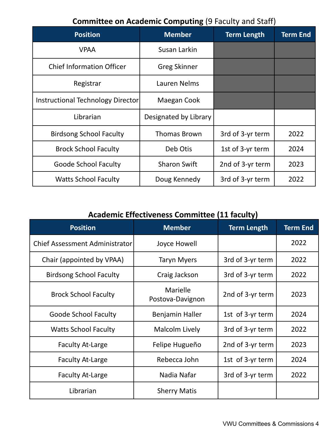# **Committee on Academic Computing** (9 Faculty and Staff)

| <b>Position</b>                   | <b>Member</b>         | <b>Term Length</b> | Term End |
|-----------------------------------|-----------------------|--------------------|----------|
| <b>VPAA</b>                       | Susan Larkin          |                    |          |
| <b>Chief Information Officer</b>  | <b>Greg Skinner</b>   |                    |          |
| Registrar                         | Lauren Nelms          |                    |          |
| Instructional Technology Director | Maegan Cook           |                    |          |
| Librarian                         | Designated by Library |                    |          |
| <b>Birdsong School Faculty</b>    | <b>Thomas Brown</b>   | 3rd of 3-yr term   | 2022     |
| <b>Brock School Faculty</b>       | Deb Otis              | 1st of 3-yr term   | 2024     |
| Goode School Faculty              | <b>Sharon Swift</b>   | 2nd of 3-yr term   | 2023     |
| <b>Watts School Faculty</b>       | Doug Kennedy          | 3rd of 3-yr term   | 2022     |

# **Academic Effectiveness Committee (11 faculty)**

| <b>Position</b>                | <b>Member</b>                       | <b>Term Length</b> | <b>Term End</b> |
|--------------------------------|-------------------------------------|--------------------|-----------------|
| Chief Assessment Administrator | Joyce Howell                        |                    | 2022            |
| Chair (appointed by VPAA)      | <b>Taryn Myers</b>                  | 3rd of 3-yr term   | 2022            |
| <b>Birdsong School Faculty</b> | Craig Jackson                       | 3rd of 3-yr term   | 2022            |
| <b>Brock School Faculty</b>    | <b>Marielle</b><br>Postova-Davignon | 2nd of 3-yr term   | 2023            |
| <b>Goode School Faculty</b>    | Benjamin Haller                     | 1st of 3-yr term   | 2024            |
| <b>Watts School Faculty</b>    | Malcolm Lively                      | 3rd of 3-yr term   | 2022            |
| <b>Faculty At-Large</b>        | Felipe Hugueño                      | 2nd of 3-yr term   | 2023            |
| <b>Faculty At-Large</b>        | Rebecca John                        | 1st of 3-yr term   | 2024            |
| <b>Faculty At-Large</b>        | Nadia Nafar                         | 3rd of 3-yr term   | 2022            |
| Librarian                      | <b>Sherry Matis</b>                 |                    |                 |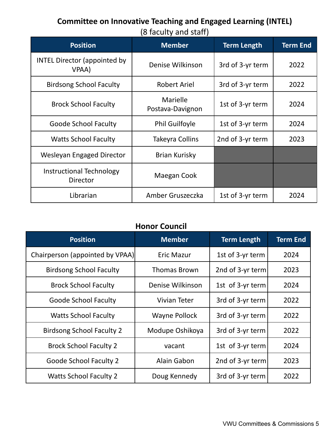# **Committee on Innovative Teaching and Engaged Learning (INTEL)**

(8 faculty and staff)

| <b>Position</b>                                    | <b>Member</b>                | <b>Term Length</b> | <b>Term End</b> |
|----------------------------------------------------|------------------------------|--------------------|-----------------|
| <b>INTEL Director (appointed by</b><br>VPAA)       | Denise Wilkinson             | 3rd of 3-yr term   | 2022            |
| <b>Birdsong School Faculty</b>                     | <b>Robert Ariel</b>          | 3rd of 3-yr term   | 2022            |
| <b>Brock School Faculty</b>                        | Marielle<br>Postava-Davignon | 1st of 3-yr term   | 2024            |
| Goode School Faculty                               | <b>Phil Guilfoyle</b>        | 1st of 3-yr term   | 2024            |
| <b>Watts School Faculty</b>                        | Takeyra Collins              | 2nd of 3-yr term   | 2023            |
| Wesleyan Engaged Director                          | Brian Kurisky                |                    |                 |
| <b>Instructional Technology</b><br><b>Director</b> | Maegan Cook                  |                    |                 |
| Librarian                                          | Amber Gruszeczka             | 1st of 3-yr term   | 2024            |

#### **Honor Council**

| <b>Position</b>                  | <b>Member</b>       | <b>Term Length</b> | <b>Term End</b> |
|----------------------------------|---------------------|--------------------|-----------------|
| Chairperson (appointed by VPAA)  | <b>Eric Mazur</b>   | 1st of 3-yr term   | 2024            |
| <b>Birdsong School Faculty</b>   | <b>Thomas Brown</b> | 2nd of 3-yr term   | 2023            |
| <b>Brock School Faculty</b>      | Denise Wilkinson    | 1st of 3-yr term   | 2024            |
| <b>Goode School Faculty</b>      | Vivian Teter        | 3rd of 3-yr term   | 2022            |
| <b>Watts School Faculty</b>      | Wayne Pollock       | 3rd of 3-yr term   | 2022            |
| <b>Birdsong School Faculty 2</b> | Modupe Oshikoya     | 3rd of 3-yr term   | 2022            |
| <b>Brock School Faculty 2</b>    | vacant              | 1st of 3-yr term   | 2024            |
| <b>Goode School Faculty 2</b>    | Alain Gabon         | 2nd of 3-yr term   | 2023            |
| <b>Watts School Faculty 2</b>    | Doug Kennedy        | 3rd of 3-yr term   | 2022            |